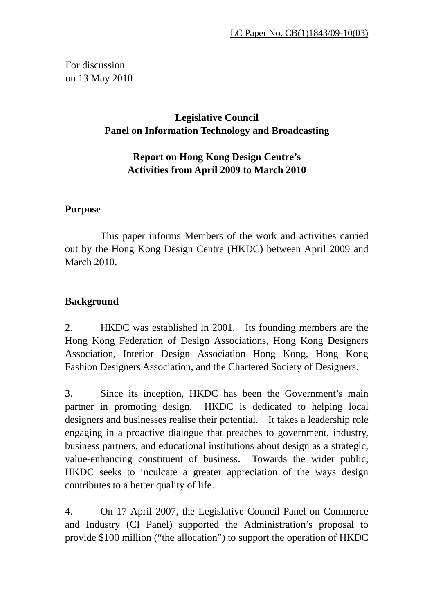For discussion on 13 May 2010

# **Legislative Council Panel on Information Technology and Broadcasting**

# **Report on Hong Kong Design Centre's Activities from April 2009 to March 2010**

## **Purpose**

 This paper informs Members of the work and activities carried out by the Hong Kong Design Centre (HKDC) between April 2009 and March 2010.

## **Background**

2. HKDC was established in 2001. Its founding members are the Hong Kong Federation of Design Associations, Hong Kong Designers Association, Interior Design Association Hong Kong, Hong Kong Fashion Designers Association, and the Chartered Society of Designers.

3. Since its inception, HKDC has been the Government's main partner in promoting design. HKDC is dedicated to helping local designers and businesses realise their potential. It takes a leadership role engaging in a proactive dialogue that preaches to government, industry, business partners, and educational institutions about design as a strategic, value-enhancing constituent of business. Towards the wider public, HKDC seeks to inculcate a greater appreciation of the ways design contributes to a better quality of life.

4. On 17 April 2007, the Legislative Council Panel on Commerce and Industry (CI Panel) supported the Administration's proposal to provide \$100 million ("the allocation") to support the operation of HKDC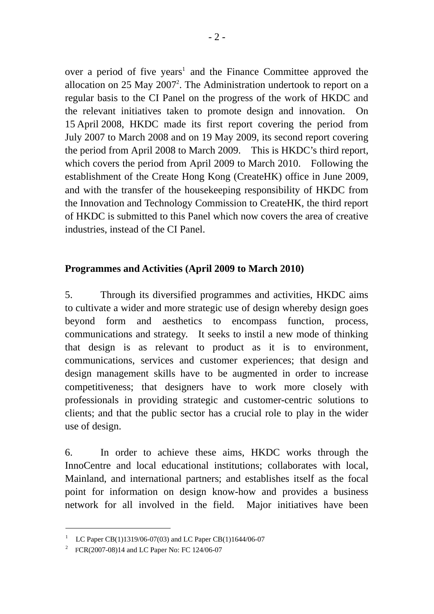over a period of five years<sup>1</sup> and the Finance Committee approved the allocation on  $25$  May  $2007<sup>2</sup>$ . The Administration undertook to report on a regular basis to the CI Panel on the progress of the work of HKDC and the relevant initiatives taken to promote design and innovation. On 15 April 2008, HKDC made its first report covering the period from July 2007 to March 2008 and on 19 May 2009, its second report covering the period from April 2008 to March 2009. This is HKDC's third report, which covers the period from April 2009 to March 2010. Following the establishment of the Create Hong Kong (CreateHK) office in June 2009, and with the transfer of the housekeeping responsibility of HKDC from the Innovation and Technology Commission to CreateHK, the third report of HKDC is submitted to this Panel which now covers the area of creative industries, instead of the CI Panel.

## **Programmes and Activities (April 2009 to March 2010)**

5. Through its diversified programmes and activities, HKDC aims to cultivate a wider and more strategic use of design whereby design goes beyond form and aesthetics to encompass function, process, communications and strategy. It seeks to instil a new mode of thinking that design is as relevant to product as it is to environment, communications, services and customer experiences; that design and design management skills have to be augmented in order to increase competitiveness; that designers have to work more closely with professionals in providing strategic and customer-centric solutions to clients; and that the public sector has a crucial role to play in the wider use of design.

6. In order to achieve these aims, HKDC works through the InnoCentre and local educational institutions; collaborates with local, Mainland, and international partners; and establishes itself as the focal point for information on design know-how and provides a business network for all involved in the field. Major initiatives have been

 $\overline{a}$ 

<sup>&</sup>lt;sup>1</sup> LC Paper CB(1)1319/06-07(03) and LC Paper CB(1)1644/06-07

<sup>&</sup>lt;sup>2</sup> FCR(2007-08)14 and LC Paper No: FC 124/06-07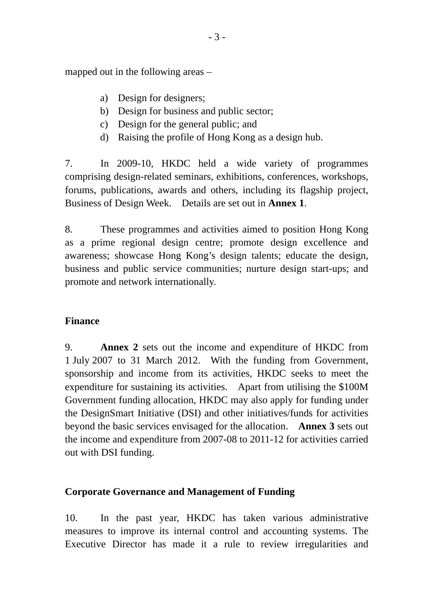mapped out in the following areas –

- a) Design for designers;
- b) Design for business and public sector;
- c) Design for the general public; and
- d) Raising the profile of Hong Kong as a design hub.

7. In 2009-10, HKDC held a wide variety of programmes comprising design-related seminars, exhibitions, conferences, workshops, forums, publications, awards and others, including its flagship project, Business of Design Week. Details are set out in **Annex 1**.

8. These programmes and activities aimed to position Hong Kong as a prime regional design centre; promote design excellence and awareness; showcase Hong Kong's design talents; educate the design, business and public service communities; nurture design start-ups; and promote and network internationally.

### **Finance**

9. **Annex 2** sets out the income and expenditure of HKDC from 1 July 2007 to 31 March 2012. With the funding from Government, sponsorship and income from its activities, HKDC seeks to meet the expenditure for sustaining its activities. Apart from utilising the \$100M Government funding allocation, HKDC may also apply for funding under the DesignSmart Initiative (DSI) and other initiatives/funds for activities beyond the basic services envisaged for the allocation. **Annex 3** sets out the income and expenditure from 2007-08 to 2011-12 for activities carried out with DSI funding.

#### **Corporate Governance and Management of Funding**

10. In the past year, HKDC has taken various administrative measures to improve its internal control and accounting systems. The Executive Director has made it a rule to review irregularities and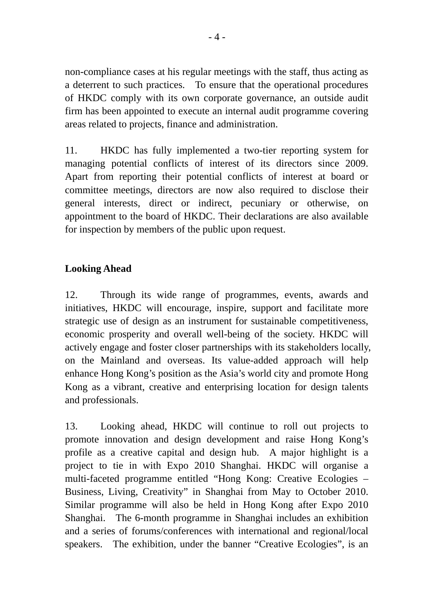non-compliance cases at his regular meetings with the staff, thus acting as a deterrent to such practices. To ensure that the operational procedures of HKDC comply with its own corporate governance, an outside audit firm has been appointed to execute an internal audit programme covering areas related to projects, finance and administration.

11. HKDC has fully implemented a two-tier reporting system for managing potential conflicts of interest of its directors since 2009. Apart from reporting their potential conflicts of interest at board or committee meetings, directors are now also required to disclose their general interests, direct or indirect, pecuniary or otherwise, on appointment to the board of HKDC. Their declarations are also available for inspection by members of the public upon request.

## **Looking Ahead**

12. Through its wide range of programmes, events, awards and initiatives, HKDC will encourage, inspire, support and facilitate more strategic use of design as an instrument for sustainable competitiveness, economic prosperity and overall well-being of the society. HKDC will actively engage and foster closer partnerships with its stakeholders locally, on the Mainland and overseas. Its value-added approach will help enhance Hong Kong's position as the Asia's world city and promote Hong Kong as a vibrant, creative and enterprising location for design talents and professionals.

13. Looking ahead, HKDC will continue to roll out projects to promote innovation and design development and raise Hong Kong's profile as a creative capital and design hub. A major highlight is a project to tie in with Expo 2010 Shanghai. HKDC will organise a multi-faceted programme entitled "Hong Kong: Creative Ecologies – Business, Living, Creativity" in Shanghai from May to October 2010. Similar programme will also be held in Hong Kong after Expo 2010 Shanghai. The 6-month programme in Shanghai includes an exhibition and a series of forums/conferences with international and regional/local speakers. The exhibition, under the banner "Creative Ecologies", is an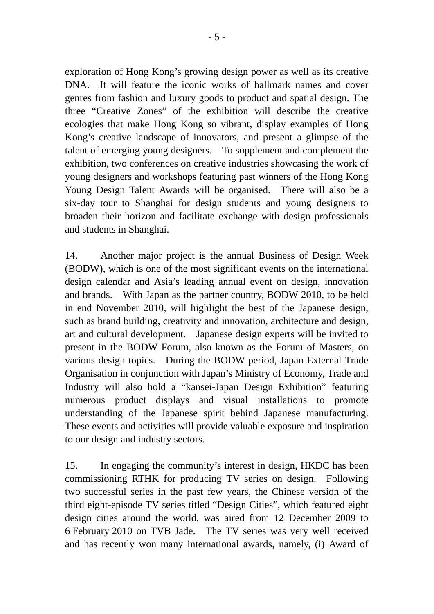exploration of Hong Kong's growing design power as well as its creative DNA. It will feature the iconic works of hallmark names and cover genres from fashion and luxury goods to product and spatial design. The three "Creative Zones" of the exhibition will describe the creative ecologies that make Hong Kong so vibrant, display examples of Hong Kong's creative landscape of innovators, and present a glimpse of the talent of emerging young designers. To supplement and complement the exhibition, two conferences on creative industries showcasing the work of young designers and workshops featuring past winners of the Hong Kong Young Design Talent Awards will be organised. There will also be a six-day tour to Shanghai for design students and young designers to broaden their horizon and facilitate exchange with design professionals and students in Shanghai.

14. Another major project is the annual Business of Design Week (BODW), which is one of the most significant events on the international design calendar and Asia's leading annual event on design, innovation and brands. With Japan as the partner country, BODW 2010, to be held in end November 2010, will highlight the best of the Japanese design, such as brand building, creativity and innovation, architecture and design, art and cultural development. Japanese design experts will be invited to present in the BODW Forum, also known as the Forum of Masters, on various design topics. During the BODW period, Japan External Trade Organisation in conjunction with Japan's Ministry of Economy, Trade and Industry will also hold a "kansei-Japan Design Exhibition" featuring numerous product displays and visual installations to promote understanding of the Japanese spirit behind Japanese manufacturing. These events and activities will provide valuable exposure and inspiration to our design and industry sectors.

15. In engaging the community's interest in design, HKDC has been commissioning RTHK for producing TV series on design. Following two successful series in the past few years, the Chinese version of the third eight-episode TV series titled "Design Cities", which featured eight design cities around the world, was aired from 12 December 2009 to 6 February 2010 on TVB Jade. The TV series was very well received and has recently won many international awards, namely, (i) Award of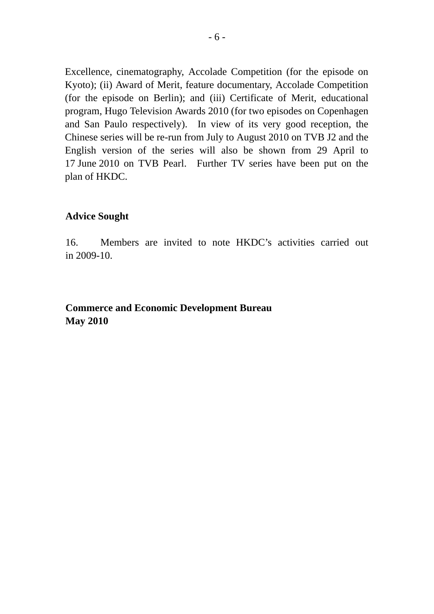Excellence, cinematography, Accolade Competition (for the episode on Kyoto); (ii) Award of Merit, feature documentary, Accolade Competition (for the episode on Berlin); and (iii) Certificate of Merit, educational program, Hugo Television Awards 2010 (for two episodes on Copenhagen and San Paulo respectively). In view of its very good reception, the Chinese series will be re-run from July to August 2010 on TVB J2 and the English version of the series will also be shown from 29 April to 17 June 2010 on TVB Pearl. Further TV series have been put on the plan of HKDC.

#### **Advice Sought**

16. Members are invited to note HKDC's activities carried out in 2009-10.

### **Commerce and Economic Development Bureau May 2010**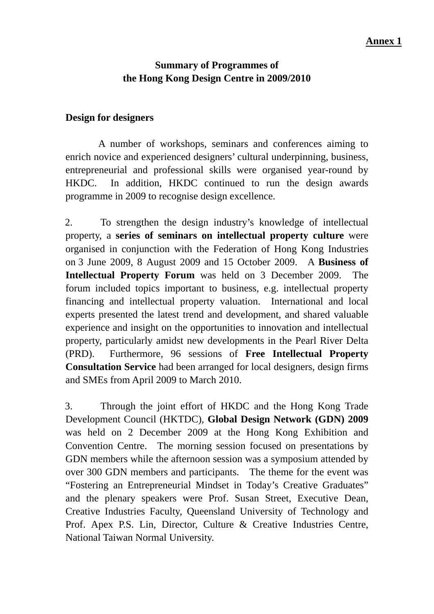## **Summary of Programmes of the Hong Kong Design Centre in 2009/2010**

### **Design for designers**

 A number of workshops, seminars and conferences aiming to enrich novice and experienced designers' cultural underpinning, business, entrepreneurial and professional skills were organised year-round by HKDC. In addition, HKDC continued to run the design awards programme in 2009 to recognise design excellence.

2. To strengthen the design industry's knowledge of intellectual property, a **series of seminars on intellectual property culture** were organised in conjunction with the Federation of Hong Kong Industries on 3 June 2009, 8 August 2009 and 15 October 2009. A **Business of Intellectual Property Forum** was held on 3 December 2009. The forum included topics important to business, e.g. intellectual property financing and intellectual property valuation. International and local experts presented the latest trend and development, and shared valuable experience and insight on the opportunities to innovation and intellectual property, particularly amidst new developments in the Pearl River Delta (PRD). Furthermore, 96 sessions of **Free Intellectual Property Consultation Service** had been arranged for local designers, design firms and SMEs from April 2009 to March 2010.

3. Through the joint effort of HKDC and the Hong Kong Trade Development Council (HKTDC), **Global Design Network (GDN) 2009**  was held on 2 December 2009 at the Hong Kong Exhibition and Convention Centre. The morning session focused on presentations by GDN members while the afternoon session was a symposium attended by over 300 GDN members and participants. The theme for the event was "Fostering an Entrepreneurial Mindset in Today's Creative Graduates" and the plenary speakers were Prof. Susan Street, Executive Dean, Creative Industries Faculty, Queensland University of Technology and Prof. Apex P.S. Lin, Director, Culture & Creative Industries Centre, National Taiwan Normal University.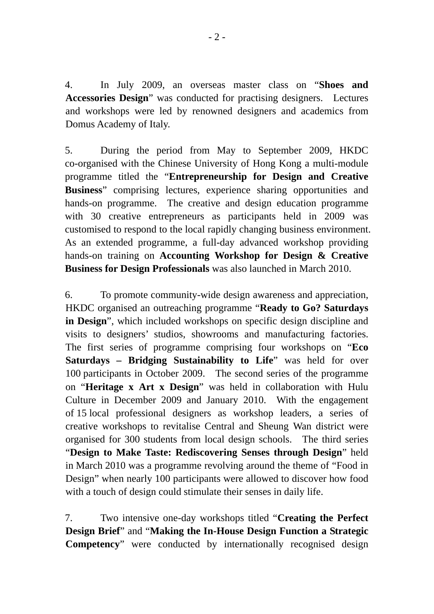4. In July 2009, an overseas master class on "**Shoes and Accessories Design**" was conducted for practising designers. Lectures and workshops were led by renowned designers and academics from Domus Academy of Italy.

5. During the period from May to September 2009, HKDC co-organised with the Chinese University of Hong Kong a multi-module programme titled the "**Entrepreneurship for Design and Creative Business**" comprising lectures, experience sharing opportunities and hands-on programme. The creative and design education programme with 30 creative entrepreneurs as participants held in 2009 was customised to respond to the local rapidly changing business environment. As an extended programme, a full-day advanced workshop providing hands-on training on **Accounting Workshop for Design & Creative Business for Design Professionals** was also launched in March 2010.

6. To promote community-wide design awareness and appreciation, HKDC organised an outreaching programme "**Ready to Go? Saturdays in Design**", which included workshops on specific design discipline and visits to designers' studios, showrooms and manufacturing factories. The first series of programme comprising four workshops on "**Eco Saturdays – Bridging Sustainability to Life**" was held for over 100 participants in October 2009. The second series of the programme on "**Heritage x Art x Design**" was held in collaboration with Hulu Culture in December 2009 and January 2010. With the engagement of 15 local professional designers as workshop leaders, a series of creative workshops to revitalise Central and Sheung Wan district were organised for 300 students from local design schools. The third series "**Design to Make Taste: Rediscovering Senses through Design**" held in March 2010 was a programme revolving around the theme of "Food in Design" when nearly 100 participants were allowed to discover how food with a touch of design could stimulate their senses in daily life.

7. Two intensive one-day workshops titled "**Creating the Perfect Design Brief**" and "**Making the In-House Design Function a Strategic Competency**" were conducted by internationally recognised design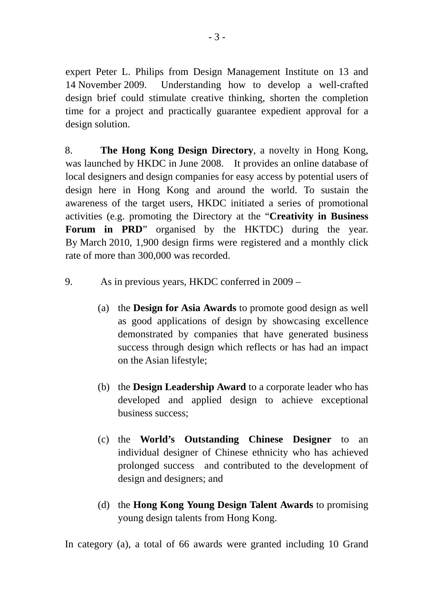expert Peter L. Philips from Design Management Institute on 13 and 14 November 2009. Understanding how to develop a well-crafted design brief could stimulate creative thinking, shorten the completion time for a project and practically guarantee expedient approval for a design solution.

8. **The Hong Kong Design Directory**, a novelty in Hong Kong, was launched by HKDC in June 2008. It provides an online database of local designers and design companies for easy access by potential users of design here in Hong Kong and around the world. To sustain the awareness of the target users, HKDC initiated a series of promotional activities (e.g. promoting the Directory at the "**Creativity in Business**  Forum in PRD<sup>"</sup> organised by the HKTDC) during the year. By March 2010, 1,900 design firms were registered and a monthly click rate of more than 300,000 was recorded.

- 9. As in previous years, HKDC conferred in 2009
	- (a) the **Design for Asia Awards** to promote good design as well as good applications of design by showcasing excellence demonstrated by companies that have generated business success through design which reflects or has had an impact on the Asian lifestyle;
	- (b) the **Design Leadership Award** to a corporate leader who has developed and applied design to achieve exceptional business success;
	- (c) the **World's Outstanding Chinese Designer** to an individual designer of Chinese ethnicity who has achieved prolonged success and contributed to the development of design and designers; and
	- (d) the **Hong Kong Young Design Talent Awards** to promising young design talents from Hong Kong.

In category (a), a total of 66 awards were granted including 10 Grand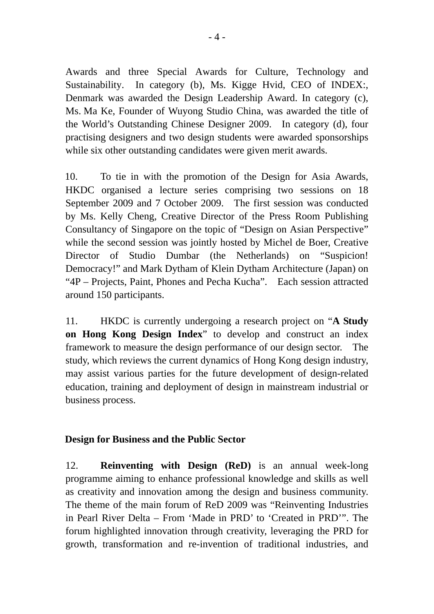Awards and three Special Awards for Culture, Technology and Sustainability. In category (b), Ms. Kigge Hvid, CEO of INDEX:, Denmark was awarded the Design Leadership Award. In category (c), Ms. Ma Ke, Founder of Wuyong Studio China, was awarded the title of the World's Outstanding Chinese Designer 2009. In category (d), four practising designers and two design students were awarded sponsorships while six other outstanding candidates were given merit awards.

10. To tie in with the promotion of the Design for Asia Awards, HKDC organised a lecture series comprising two sessions on 18 September 2009 and 7 October 2009. The first session was conducted by Ms. Kelly Cheng, Creative Director of the Press Room Publishing Consultancy of Singapore on the topic of "Design on Asian Perspective" while the second session was jointly hosted by Michel de Boer, Creative Director of Studio Dumbar (the Netherlands) on "Suspicion! Democracy!" and Mark Dytham of Klein Dytham Architecture (Japan) on "4P – Projects, Paint, Phones and Pecha Kucha". Each session attracted around 150 participants.

11. HKDC is currently undergoing a research project on "**A Study on Hong Kong Design Index**" to develop and construct an index framework to measure the design performance of our design sector. The study, which reviews the current dynamics of Hong Kong design industry, may assist various parties for the future development of design-related education, training and deployment of design in mainstream industrial or business process.

### **Design for Business and the Public Sector**

12. **Reinventing with Design (ReD)** is an annual week-long programme aiming to enhance professional knowledge and skills as well as creativity and innovation among the design and business community. The theme of the main forum of ReD 2009 was "Reinventing Industries in Pearl River Delta – From 'Made in PRD' to 'Created in PRD'". The forum highlighted innovation through creativity, leveraging the PRD for growth, transformation and re-invention of traditional industries, and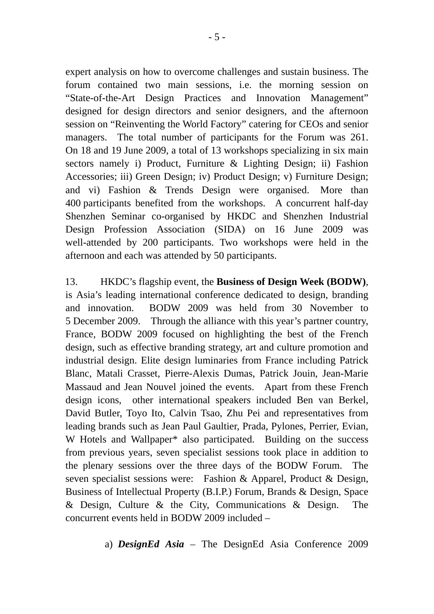expert analysis on how to overcome challenges and sustain business. The forum contained two main sessions, i.e. the morning session on "State-of-the-Art Design Practices and Innovation Management" designed for design directors and senior designers, and the afternoon session on "Reinventing the World Factory" catering for CEOs and senior managers. The total number of participants for the Forum was 261. On 18 and 19 June 2009, a total of 13 workshops specializing in six main sectors namely i) Product, Furniture & Lighting Design; ii) Fashion Accessories; iii) Green Design; iv) Product Design; v) Furniture Design; and vi) Fashion & Trends Design were organised. More than 400 participants benefited from the workshops. A concurrent half-day Shenzhen Seminar co-organised by HKDC and Shenzhen Industrial Design Profession Association (SIDA) on 16 June 2009 was well-attended by 200 participants. Two workshops were held in the afternoon and each was attended by 50 participants.

13. HKDC's flagship event, the **Business of Design Week (BODW)**, is Asia's leading international conference dedicated to design, branding and innovation. BODW 2009 was held from 30 November to 5 December 2009. Through the alliance with this year's partner country, France, BODW 2009 focused on highlighting the best of the French design, such as effective branding strategy, art and culture promotion and industrial design. Elite design luminaries from France including Patrick Blanc, Matali Crasset, Pierre-Alexis Dumas, Patrick Jouin, Jean-Marie Massaud and Jean Nouvel joined the events. Apart from these French design icons, other international speakers included Ben van Berkel, David Butler, Toyo Ito, Calvin Tsao, Zhu Pei and representatives from leading brands such as Jean Paul Gaultier, Prada, Pylones, Perrier, Evian, W Hotels and Wallpaper\* also participated. Building on the success from previous years, seven specialist sessions took place in addition to the plenary sessions over the three days of the BODW Forum. The seven specialist sessions were: Fashion & Apparel, Product & Design, Business of Intellectual Property (B.I.P.) Forum, Brands & Design, Space & Design, Culture & the City, Communications & Design. The concurrent events held in BODW 2009 included –

a) *DesignEd Asia* – The DesignEd Asia Conference 2009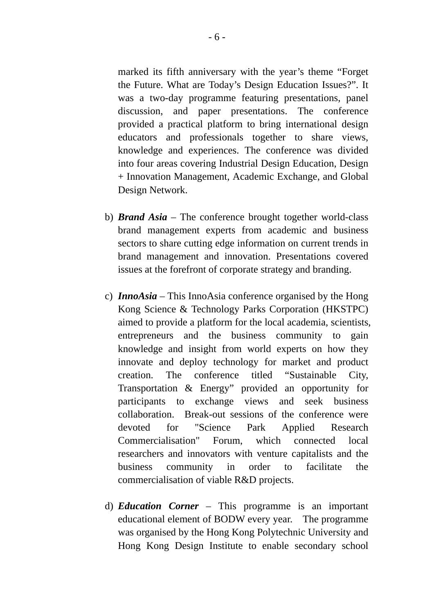marked its fifth anniversary with the year's theme "Forget the Future. What are Today's Design Education Issues?". It was a two-day programme featuring presentations, panel discussion, and paper presentations. The conference provided a practical platform to bring international design educators and professionals together to share views, knowledge and experiences. The conference was divided into four areas covering Industrial Design Education, Design + Innovation Management, Academic Exchange, and Global Design Network.

- b) *Brand Asia* The conference brought together world-class brand management experts from academic and business sectors to share cutting edge information on current trends in brand management and innovation. Presentations covered issues at the forefront of corporate strategy and branding.
- c) *InnoAsia* This InnoAsia conference organised by the Hong Kong Science & Technology Parks Corporation (HKSTPC) aimed to provide a platform for the local academia, scientists, entrepreneurs and the business community to gain knowledge and insight from world experts on how they innovate and deploy technology for market and product creation. The conference titled "Sustainable City, Transportation & Energy" provided an opportunity for participants to exchange views and seek business collaboration. Break-out sessions of the conference were devoted for "Science Park Applied Research Commercialisation" Forum, which connected local researchers and innovators with venture capitalists and the business community in order to facilitate the commercialisation of viable R&D projects.
- d) *Education Corner* This programme is an important educational element of BODW every year. The programme was organised by the Hong Kong Polytechnic University and Hong Kong Design Institute to enable secondary school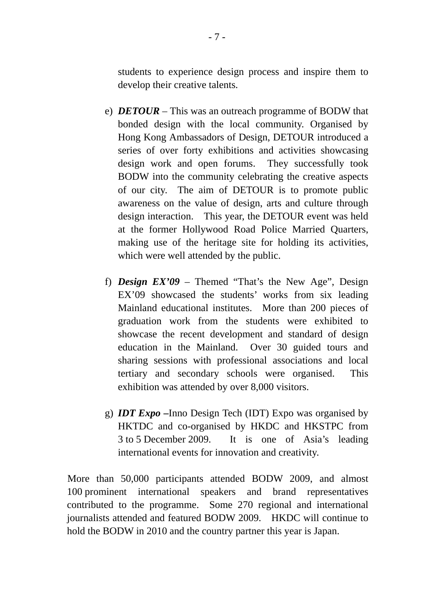students to experience design process and inspire them to develop their creative talents.

- e) *DETOUR* This was an outreach programme of BODW that bonded design with the local community. Organised by Hong Kong Ambassadors of Design, DETOUR introduced a series of over forty exhibitions and activities showcasing design work and open forums. They successfully took BODW into the community celebrating the creative aspects of our city. The aim of DETOUR is to promote public awareness on the value of design, arts and culture through design interaction. This year, the DETOUR event was held at the former Hollywood Road Police Married Quarters, making use of the heritage site for holding its activities, which were well attended by the public.
- f) *Design EX'09* Themed "That's the New Age", Design EX'09 showcased the students' works from six leading Mainland educational institutes. More than 200 pieces of graduation work from the students were exhibited to showcase the recent development and standard of design education in the Mainland. Over 30 guided tours and sharing sessions with professional associations and local tertiary and secondary schools were organised. This exhibition was attended by over 8,000 visitors.
- g) *IDT Expo* **–**Inno Design Tech (IDT) Expo was organised by HKTDC and co-organised by HKDC and HKSTPC from 3 to 5 December 2009. It is one of Asia's leading international events for innovation and creativity.

More than 50,000 participants attended BODW 2009, and almost 100 prominent international speakers and brand representatives contributed to the programme. Some 270 regional and international journalists attended and featured BODW 2009. HKDC will continue to hold the BODW in 2010 and the country partner this year is Japan.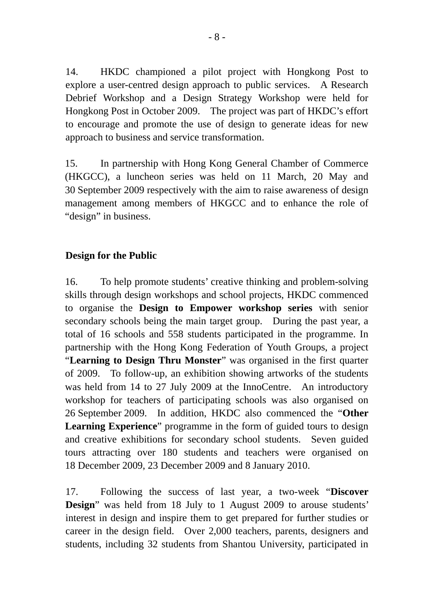14. HKDC championed a pilot project with Hongkong Post to explore a user-centred design approach to public services. A Research Debrief Workshop and a Design Strategy Workshop were held for Hongkong Post in October 2009. The project was part of HKDC's effort to encourage and promote the use of design to generate ideas for new approach to business and service transformation.

15. In partnership with Hong Kong General Chamber of Commerce (HKGCC), a luncheon series was held on 11 March, 20 May and 30 September 2009 respectively with the aim to raise awareness of design management among members of HKGCC and to enhance the role of "design" in business.

### **Design for the Public**

16. To help promote students' creative thinking and problem-solving skills through design workshops and school projects, HKDC commenced to organise the **Design to Empower workshop series** with senior secondary schools being the main target group. During the past year, a total of 16 schools and 558 students participated in the programme. In partnership with the Hong Kong Federation of Youth Groups, a project "**Learning to Design Thru Monster**" was organised in the first quarter of 2009. To follow-up, an exhibition showing artworks of the students was held from 14 to 27 July 2009 at the InnoCentre. An introductory workshop for teachers of participating schools was also organised on 26 September 2009. In addition, HKDC also commenced the "**Other Learning Experience**" programme in the form of guided tours to design and creative exhibitions for secondary school students. Seven guided tours attracting over 180 students and teachers were organised on 18 December 2009, 23 December 2009 and 8 January 2010.

17. Following the success of last year, a two-week "**Discover Design**" was held from 18 July to 1 August 2009 to arouse students' interest in design and inspire them to get prepared for further studies or career in the design field. Over 2,000 teachers, parents, designers and students, including 32 students from Shantou University, participated in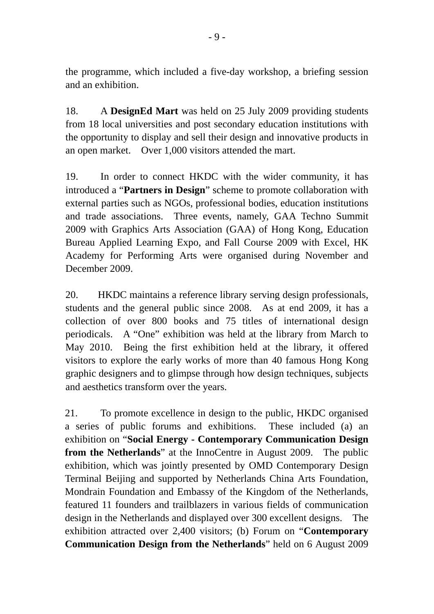the programme, which included a five-day workshop, a briefing session and an exhibition.

18. A **DesignEd Mart** was held on 25 July 2009 providing students from 18 local universities and post secondary education institutions with the opportunity to display and sell their design and innovative products in an open market. Over 1,000 visitors attended the mart.

19. In order to connect HKDC with the wider community, it has introduced a "**Partners in Design**" scheme to promote collaboration with external parties such as NGOs, professional bodies, education institutions and trade associations. Three events, namely, GAA Techno Summit 2009 with Graphics Arts Association (GAA) of Hong Kong, Education Bureau Applied Learning Expo, and Fall Course 2009 with Excel, HK Academy for Performing Arts were organised during November and December 2009.

20. HKDC maintains a reference library serving design professionals, students and the general public since 2008. As at end 2009, it has a collection of over 800 books and 75 titles of international design periodicals. A "One" exhibition was held at the library from March to May 2010. Being the first exhibition held at the library, it offered visitors to explore the early works of more than 40 famous Hong Kong graphic designers and to glimpse through how design techniques, subjects and aesthetics transform over the years.

21. To promote excellence in design to the public, HKDC organised a series of public forums and exhibitions. These included (a) an exhibition on "**Social Energy - Contemporary Communication Design from the Netherlands**" at the InnoCentre in August 2009. The public exhibition, which was jointly presented by OMD Contemporary Design Terminal Beijing and supported by Netherlands China Arts Foundation, Mondrain Foundation and Embassy of the Kingdom of the Netherlands, featured 11 founders and trailblazers in various fields of communication design in the Netherlands and displayed over 300 excellent designs. The exhibition attracted over 2,400 visitors; (b) Forum on "**Contemporary Communication Design from the Netherlands**" held on 6 August 2009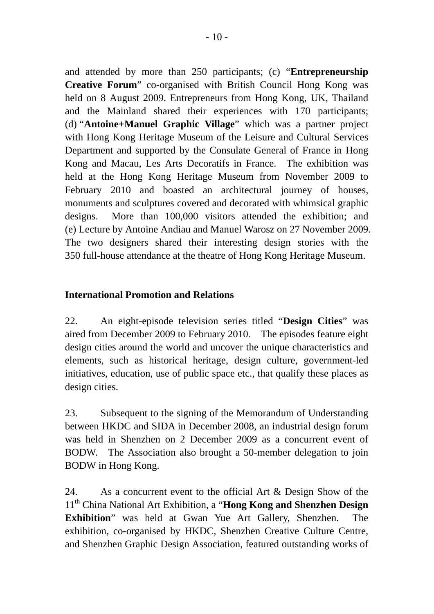and attended by more than 250 participants; (c) "**Entrepreneurship Creative Forum**" co-organised with British Council Hong Kong was held on 8 August 2009. Entrepreneurs from Hong Kong, UK, Thailand and the Mainland shared their experiences with 170 participants; (d) "**Antoine+Manuel Graphic Village**" which was a partner project with Hong Kong Heritage Museum of the Leisure and Cultural Services Department and supported by the Consulate General of France in Hong Kong and Macau, Les Arts Decoratifs in France. The exhibition was held at the Hong Kong Heritage Museum from November 2009 to February 2010 and boasted an architectural journey of houses. monuments and sculptures covered and decorated with whimsical graphic designs. More than 100,000 visitors attended the exhibition; and (e) Lecture by Antoine Andiau and Manuel Warosz on 27 November 2009. The two designers shared their interesting design stories with the 350 full-house attendance at the theatre of Hong Kong Heritage Museum.

## **International Promotion and Relations**

22. An eight-episode television series titled "**Design Cities**" was aired from December 2009 to February 2010. The episodes feature eight design cities around the world and uncover the unique characteristics and elements, such as historical heritage, design culture, government-led initiatives, education, use of public space etc., that qualify these places as design cities.

23. Subsequent to the signing of the Memorandum of Understanding between HKDC and SIDA in December 2008, an industrial design forum was held in Shenzhen on 2 December 2009 as a concurrent event of BODW. The Association also brought a 50-member delegation to join BODW in Hong Kong.

24. As a concurrent event to the official Art & Design Show of the 11th China National Art Exhibition, a "**Hong Kong and Shenzhen Design Exhibition**" was held at Gwan Yue Art Gallery, Shenzhen. The exhibition, co-organised by HKDC, Shenzhen Creative Culture Centre, and Shenzhen Graphic Design Association, featured outstanding works of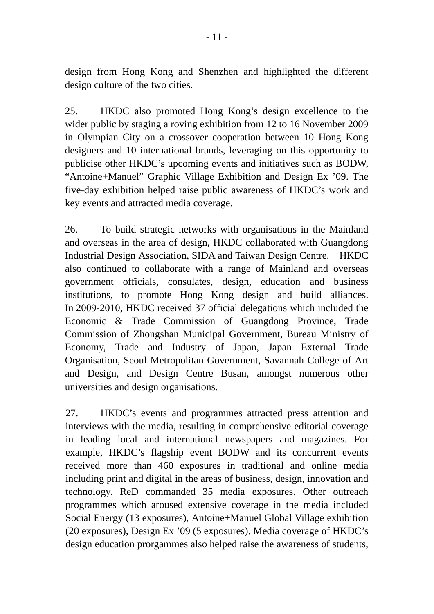design from Hong Kong and Shenzhen and highlighted the different design culture of the two cities.

25.HKDC also promoted Hong Kong's design excellence to the wider public by staging a roving exhibition from 12 to 16 November 2009 in Olympian City on a crossover cooperation between 10 Hong Kong designers and 10 international brands, leveraging on this opportunity to publicise other HKDC's upcoming events and initiatives such as BODW, "Antoine+Manuel" Graphic Village Exhibition and Design Ex '09. The five-day exhibition helped raise public awareness of HKDC's work and key events and attracted media coverage.

26. To build strategic networks with organisations in the Mainland and overseas in the area of design, HKDC collaborated with Guangdong Industrial Design Association, SIDA and Taiwan Design Centre. HKDC also continued to collaborate with a range of Mainland and overseas government officials, consulates, design, education and business institutions, to promote Hong Kong design and build alliances. In 2009-2010, HKDC received 37 official delegations which included the Economic & Trade Commission of Guangdong Province, Trade Commission of Zhongshan Municipal Government, Bureau Ministry of Economy, Trade and Industry of Japan, Japan External Trade Organisation, Seoul Metropolitan Government, Savannah College of Art and Design, and Design Centre Busan, amongst numerous other universities and design organisations.

27. HKDC's events and programmes attracted press attention and interviews with the media, resulting in comprehensive editorial coverage in leading local and international newspapers and magazines. For example, HKDC's flagship event BODW and its concurrent events received more than 460 exposures in traditional and online media including print and digital in the areas of business, design, innovation and technology. ReD commanded 35 media exposures. Other outreach programmes which aroused extensive coverage in the media included Social Energy (13 exposures), Antoine+Manuel Global Village exhibition (20 exposures), Design Ex '09 (5 exposures). Media coverage of HKDC's design education prorgammes also helped raise the awareness of students,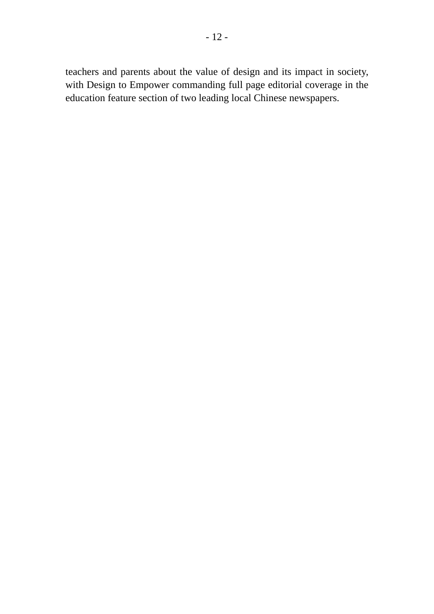teachers and parents about the value of design and its impact in society, with Design to Empower commanding full page editorial coverage in the education feature section of two leading local Chinese newspapers.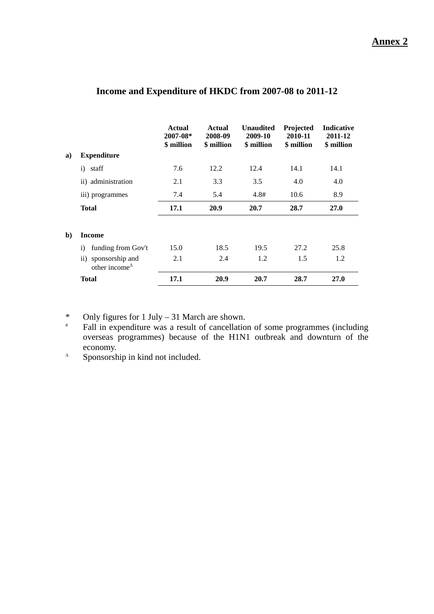#### **Annex 2**

|              |                                                          | Actual<br>2007-08*<br>\$ million | Actual<br>2008-09<br>\$ million | <b>Unaudited</b><br>2009-10<br>\$ million | Projected<br>2010-11<br>\$ million | <b>Indicative</b><br>2011-12<br>\$ million |
|--------------|----------------------------------------------------------|----------------------------------|---------------------------------|-------------------------------------------|------------------------------------|--------------------------------------------|
| a)           | <b>Expenditure</b>                                       |                                  |                                 |                                           |                                    |                                            |
|              | staff<br>i)                                              | 7.6                              | 12.2                            | 12.4                                      | 14.1                               | 14.1                                       |
|              | ii) administration                                       | 2.1                              | 3.3                             | 3.5                                       | 4.0                                | 4.0                                        |
|              | iii) programmes                                          | 7.4                              | 5.4                             | 4.8#                                      | 10.6                               | 8.9                                        |
|              | <b>Total</b>                                             | 17.1                             | 20.9                            | 20.7                                      | 28.7                               | <b>27.0</b>                                |
| $\mathbf{b}$ | Income                                                   |                                  |                                 |                                           |                                    |                                            |
|              | funding from Gov't<br>$\mathbf{i}$                       | 15.0                             | 18.5                            | 19.5                                      | 27.2                               | 25.8                                       |
|              | sponsorship and<br>$\rm ii)$<br>other income $^{\Delta}$ | 2.1                              | 2.4                             | 1.2                                       | 1.5                                | 1.2                                        |
|              | <b>Total</b>                                             | 17.1                             | 20.9                            | 20.7                                      | 28.7                               | 27.0                                       |

#### **Income and Expenditure of HKDC from 2007-08 to 2011-12**

\* Only figures for 1 July – 31 March are shown.<br> $\frac{1}{2}$  Eall in expenditure was a result of cancellation

Fall in expenditure was a result of cancellation of some programmes (including overseas programmes) because of the H1N1 outbreak and downturn of the economy.

 $\triangle$  Sponsorship in kind not included.